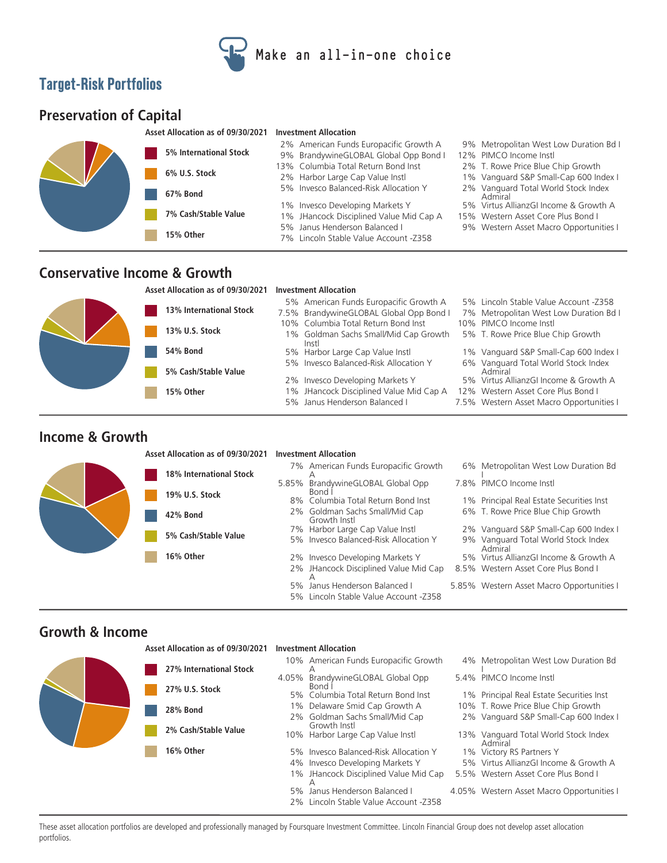

# **Target-Risk Portfolios**

# **Preservation of Capital**

| Asset Allocation as of 09/30/2021 Investment Allocation |  |
|---------------------------------------------------------|--|
|                                                         |  |



#### **Conservative Income & Growth**

#### **Asset Allocation as of 09/30/2021 Investment Allocation 13% International Stock 13% U.S. Stock 54% Bond 5% Cash/Stable Value 15% Other** 5% Janus Henderson Balanced I 7.5% Western Asset Macro Opportunities I 1% JHancock Disciplined Value Mid Cap A 12% Western Asset Core Plus Bond I 2% Invesco Developing Markets Y 5% Virtus AllianzGI Income & Growth A Vanguard Total World Stock Index Admiral 5% Invesco Balanced-Risk Allocation Y 6% 5% Harbor Large Cap Value Instl 1% Vanguard S&P Small-Cap 600 Index I 1% Goldman Sachs Small/Mid Cap Growth 5% T. Rowe Price Blue Chip Growth Instl 10% Columbia Total Return Bond Inst 10% PIMCO Income Instl<br>1% Goldman Sachs Small/Mid Cap Growth 5% T. Rowe Price Blue Chip Growth 7.5% BrandywineGLOBAL Global Opp Bond I 7% Metropolitan West Low Duration Bd I 5% American Funds Europacific Growth A 5% Lincoln Stable Value Account -Z358

#### **Income & Growth**

#### **Asset Allocation as of 09/30/2021 Investment Allocation**



### **Growth & Income**

|  | Asset Allocation as of 09/30/2021         | <b>Investment Allocation</b> |                                                                     |  |                                                 |
|--|-------------------------------------------|------------------------------|---------------------------------------------------------------------|--|-------------------------------------------------|
|  | 27% International Stock<br>27% U.S. Stock |                              | 10% American Funds Europacific Growth                               |  | 4% Metropolitan West Low Duration Bd            |
|  |                                           | 4.05%                        | BrandywineGLOBAL Global Opp<br>Bond l                               |  | 5.4% PIMCO Income Instl                         |
|  |                                           |                              | 5% Columbia Total Return Bond Inst                                  |  | 1% Principal Real Estate Securities Inst        |
|  | <b>28% Bond</b>                           |                              | 1% Delaware Smid Cap Growth A                                       |  | 10% T. Rowe Price Blue Chip Growth              |
|  |                                           |                              | 2% Goldman Sachs Small/Mid Cap<br>Growth Instl                      |  | 2% Vanguard S&P Small-Cap 600 Index I           |
|  | 2% Cash/Stable Value                      |                              | 10% Harbor Large Cap Value Instl                                    |  | 13% Vanguard Total World Stock Index<br>Admiral |
|  | 16% Other                                 | 5%                           | Invesco Balanced-Risk Allocation Y                                  |  | 1% Victory RS Partners Y                        |
|  |                                           | 4%                           | Invesco Developing Markets Y                                        |  | 5% Virtus AllianzGI Income & Growth A           |
|  |                                           |                              | 1% JHancock Disciplined Value Mid Cap                               |  | 5.5% Western Asset Core Plus Bond I             |
|  |                                           | 5%                           | Janus Henderson Balanced I<br>2% Lincoln Stable Value Account -7358 |  | 4.05% Western Asset Macro Opportunities I       |

These asset allocation portfolios are developed and professionally managed by Foursquare Investment Committee. Lincoln Financial Group does not develop asset allocation portfolios.